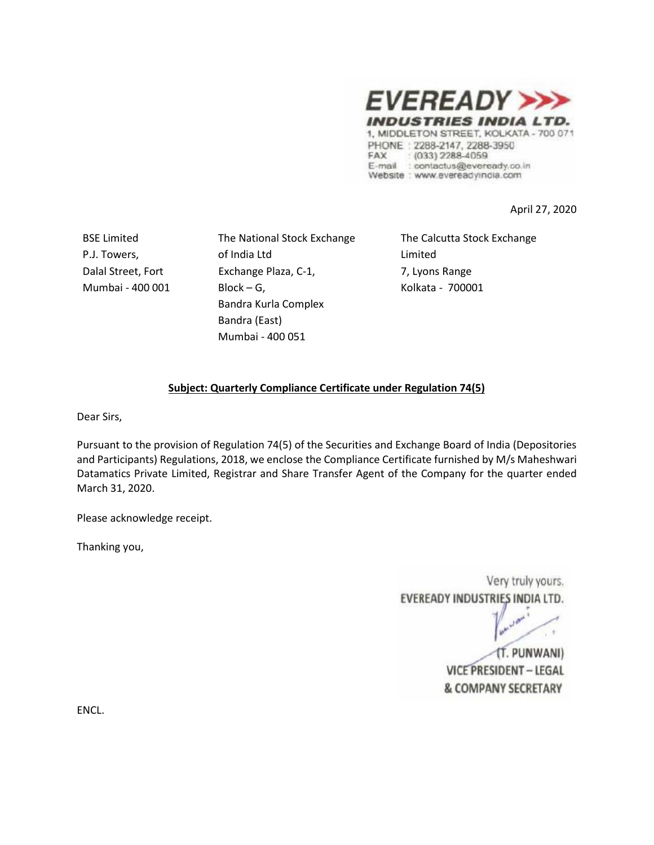

PHONE: 2288-2147, 2288-3950 FAX  $(033)$  2288-4059 E-mail : contactus@eveready.co.in Website : www.evereadyindia.com

April 27, 2020

BSE Limited P.J. Towers, Dalal Street, Fort Mumbai - 400 001 The National Stock Exchange of India Ltd Exchange Plaza, C-1, Block – G, Bandra Kurla Complex Bandra (East) Mumbai - 400 051

The Calcutta Stock Exchange Limited 7, Lyons Range Kolkata - 700001

## **Subject: Quarterly Compliance Certificate under Regulation 74(5)**

Dear Sirs,

Pursuant to the provision of Regulation 74(5) of the Securities and Exchange Board of India (Depositories and Participants) Regulations, 2018, we enclose the Compliance Certificate furnished by M/s Maheshwari Datamatics Private Limited, Registrar and Share Transfer Agent of the Company for the quarter ended March 31, 2020.

Please acknowledge receipt.

Thanking you,

Very truly yours, EVEREADY INDUSTRIES INDIA LTD.

(T. PUNWANI) **VICE PRESIDENT - LEGAL & COMPANY SECRETARY** 

ENCL.